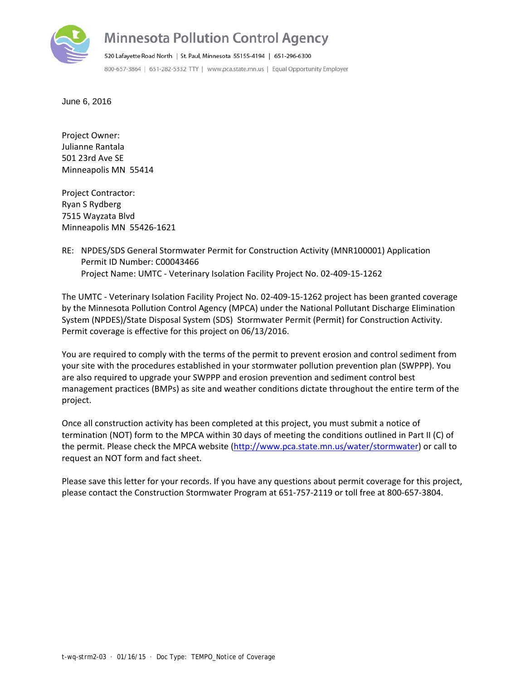

## **Minnesota Pollution Control Agency**

520 Lafayette Road North | St. Paul, Minnesota 55155-4194 | 651-296-6300 800-657-3864 | 651-282-5332 TTY | www.pca.state.mn.us | Equal Opportunity Employer

June 6, 2016

Project Owner: Julianne Rantala 501 23rd Ave SE Minneapolis MN 55414

Project Contractor: Ryan S Rydberg 7515 Wayzata Blvd Minneapolis MN 55426‐1621

#### RE: NPDES/SDS General Stormwater Permit for Construction Activity (MNR100001) Application Permit ID Number: C00043466 Project Name: UMTC ‐ Veterinary Isolation Facility Project No. 02‐409‐15‐1262

The UMTC ‐ Veterinary Isolation Facility Project No. 02‐409‐15‐1262 project has been granted coverage by the Minnesota Pollution Control Agency (MPCA) under the National Pollutant Discharge Elimination System (NPDES)/State Disposal System (SDS) Stormwater Permit (Permit) for Construction Activity. Permit coverage is effective for this project on 06/13/2016.

You are required to comply with the terms of the permit to prevent erosion and control sediment from your site with the procedures established in your stormwater pollution prevention plan (SWPPP). You are also required to upgrade your SWPPP and erosion prevention and sediment control best management practices (BMPs) as site and weather conditions dictate throughout the entire term of the project.

Once all construction activity has been completed at this project, you must submit a notice of termination (NOT) form to the MPCA within 30 days of meeting the conditions outlined in Part II (C) of the permit. Please check the MPCA website (http://www.pca.state.mn.us/water/stormwater) or call to request an NOT form and fact sheet.

Please save this letter for your records. If you have any questions about permit coverage for this project, please contact the Construction Stormwater Program at 651‐757‐2119 or toll free at 800‐657‐3804.